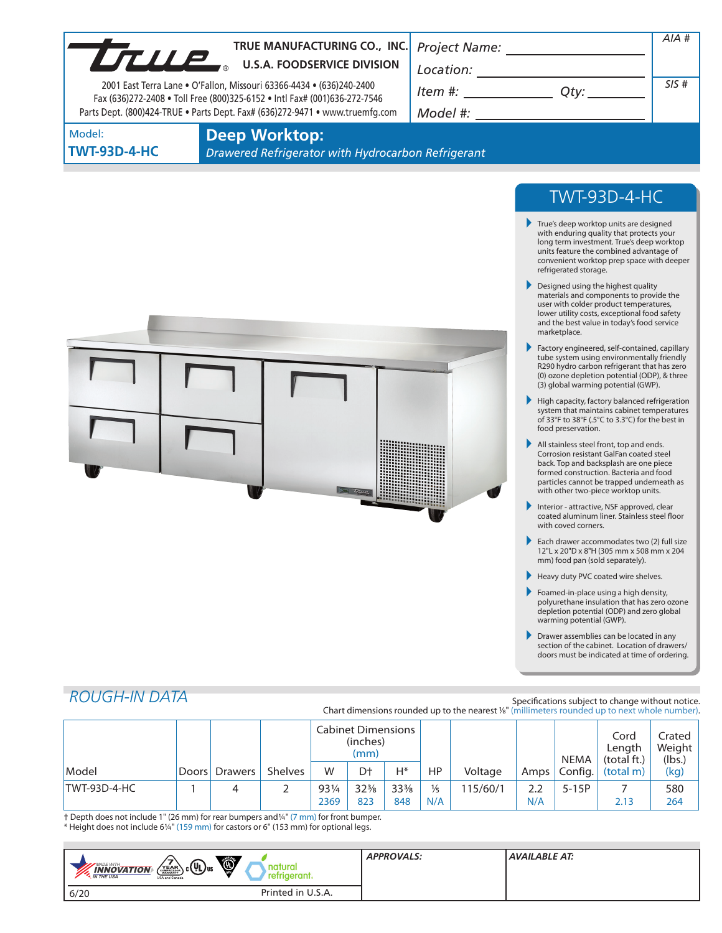| UTILIP | TRUE MANUFACTURING CO., INC. Project Name:<br><b>U.S.A. FOODSERVICE DIVISION</b><br>2001 East Terra Lane . O'Fallon, Missouri 63366-4434 . (636)240-2400<br>Fax (636)272-2408 . Toll Free (800)325-6152 . Intl Fax# (001)636-272-7546<br>Parts Dept. (800)424-TRUE . Parts Dept. Fax# (636)272-9471 . www.truemfg.com | Location:<br>Item #:<br>Otv:<br>Model #: | AIA#<br>SIS# |
|--------|-----------------------------------------------------------------------------------------------------------------------------------------------------------------------------------------------------------------------------------------------------------------------------------------------------------------------|------------------------------------------|--------------|
| Model: | Deen Workton:                                                                                                                                                                                                                                                                                                         |                                          |              |

**TWT-93D-4-HC**

**Deep Worktop:**

*Drawered Refrigerator with Hydrocarbon Refrigerant*



# TWT-93D-4-HC

- True's deep worktop units are designed with enduring quality that protects your long term investment. True's deep worktop units feature the combined advantage of convenient worktop prep space with deeper refrigerated storage.
- Designed using the highest quality materials and components to provide the user with colder product temperatures, lower utility costs, exceptional food safety and the best value in today's food service marketplace.
- Factory engineered, self-contained, capillary tube system using environmentally friendly R290 hydro carbon refrigerant that has zero (0) ozone depletion potential (ODP), & three (3) global warming potential (GWP).
- High capacity, factory balanced refrigeration system that maintains cabinet temperatures of 33°F to 38°F (.5°C to 3.3°C) for the best in food preservation.
- All stainless steel front, top and ends. Corrosion resistant GalFan coated steel back. Top and backsplash are one piece formed construction. Bacteria and food particles cannot be trapped underneath as with other two-piece worktop units.
- Interior attractive, NSF approved, clear coated aluminum liner. Stainless steel floor with coved corners.
- Each drawer accommodates two (2) full size 12"L x 20"D x 8"H (305 mm x 508 mm x 204 mm) food pan (sold separately).
- Heavy duty PVC coated wire shelves.
- Foamed-in-place using a high density, polyurethane insulation that has zero ozone depletion potential (ODP) and zero global warming potential (GWP).
- **Drawer assemblies can be located in any** section of the cabinet. Location of drawers/ doors must be indicated at time of ordering.

# *ROUGH-IN DATA*

#### Specifications subject to change without notice. Chart dimensions rounded up to the nearest %" (millimeters rounded up to next whole number).

|              |               |         | <b>Cabinet Dimensions</b><br>(inches)<br>(mm) |                 |                 |               |          | <b>NEMA</b> | Cord<br>Length<br>(total ft.) | Crated<br>Weight  <br>(lbs.) |      |
|--------------|---------------|---------|-----------------------------------------------|-----------------|-----------------|---------------|----------|-------------|-------------------------------|------------------------------|------|
| Model        | Doors Drawers | Shelves | W                                             | D <sup>+</sup>  | H*              | <b>HP</b>     | Voltage  | Amps        | Config.                       | (total m)                    | (kg) |
| TWT-93D-4-HC |               |         | 931/4                                         | $32\frac{3}{8}$ | $33\frac{3}{8}$ | $\frac{1}{5}$ | 115/60/1 | 2.2         | $5-15P$                       |                              | 580  |
|              |               |         | 2369                                          | 823             | 848             | N/A           |          | N/A         |                               | 2.13                         | 264  |

† Depth does not include 1" (26 mm) for rear bumpers and1/4" (7 mm) for front bumper. \* Height does not include 61/4" (159 mm) for castors or 6" (153 mm) for optional legs.

| Ö,<br>$\sqrt{\frac{7}{\text{YEAR}}}\cdot \text{(II)}$ us<br><b>MADE WITH_</b><br>natural<br><b>INNOVATION</b><br>retrigerant.<br><b>M</b> THE USA<br>USA and Canada | <b>APPROVALS:</b> | AVAILABLE AT: |
|---------------------------------------------------------------------------------------------------------------------------------------------------------------------|-------------------|---------------|
| Printed in U.S.A.<br>6/20                                                                                                                                           |                   |               |